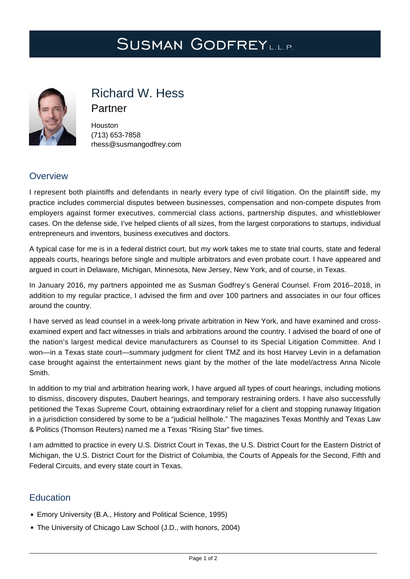# SUSMAN GODFREYLL.P.



## Richard W. Hess

Partner

Houston (713) 653-7858 [rhess@susmangodfrey.com](mailto:rhess@susmangodfrey.com)

## **Overview**

I represent both plaintiffs and defendants in nearly every type of civil litigation. On the plaintiff side, my practice includes commercial disputes between businesses, compensation and non-compete disputes from employers against former executives, commercial class actions, partnership disputes, and whistleblower cases. On the defense side, I've helped clients of all sizes, from the largest corporations to startups, individual entrepreneurs and inventors, business executives and doctors.

A typical case for me is in a federal district court, but my work takes me to state trial courts, state and federal appeals courts, hearings before single and multiple arbitrators and even probate court. I have appeared and argued in court in Delaware, Michigan, Minnesota, New Jersey, New York, and of course, in Texas.

In January 2016, my partners appointed me as Susman Godfrey's General Counsel. From 2016–2018, in addition to my regular practice, I advised the firm and over 100 partners and associates in our four offices around the country.

I have served as lead counsel in a week-long private arbitration in New York, and have examined and crossexamined expert and fact witnesses in trials and arbitrations around the country. I advised the board of one of the nation's largest medical device manufacturers as Counsel to its Special Litigation Committee. And I won—in a Texas state court—summary judgment for client TMZ and its host Harvey Levin in a defamation case brought against the entertainment news giant by the mother of the late model/actress Anna Nicole Smith.

In addition to my trial and arbitration hearing work, I have argued all types of court hearings, including motions to dismiss, discovery disputes, Daubert hearings, and temporary restraining orders. I have also successfully petitioned the Texas Supreme Court, obtaining extraordinary relief for a client and stopping runaway litigation in a jurisdiction considered by some to be a "judicial hellhole." The magazines Texas Monthly and Texas Law & Politics (Thomson Reuters) named me a Texas "Rising Star" five times.

I am admitted to practice in every U.S. District Court in Texas, the U.S. District Court for the Eastern District of Michigan, the U.S. District Court for the District of Columbia, the Courts of Appeals for the Second, Fifth and Federal Circuits, and every state court in Texas.

## **Education**

- Emory University (B.A., History and Political Science, 1995)
- The University of Chicago Law School (J.D., with honors, 2004)